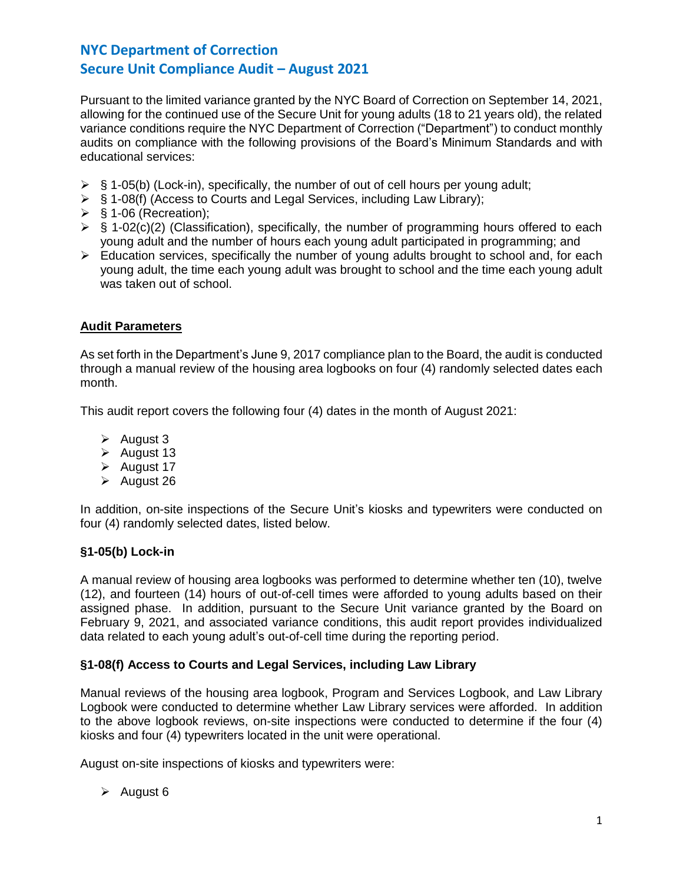Pursuant to the limited variance granted by the NYC Board of Correction on September 14, 2021, allowing for the continued use of the Secure Unit for young adults (18 to 21 years old), the related variance conditions require the NYC Department of Correction ("Department") to conduct monthly audits on compliance with the following provisions of the Board's Minimum Standards and with educational services:

- $\triangleright$  § 1-05(b) (Lock-in), specifically, the number of out of cell hours per young adult;
- ➢ § 1-08(f) (Access to Courts and Legal Services, including Law Library);
- $\triangleright$  § 1-06 (Recreation);
- $\triangleright$  § 1-02(c)(2) (Classification), specifically, the number of programming hours offered to each young adult and the number of hours each young adult participated in programming; and
- $\triangleright$  Education services, specifically the number of young adults brought to school and, for each young adult, the time each young adult was brought to school and the time each young adult was taken out of school.

# **Audit Parameters**

As set forth in the Department's June 9, 2017 compliance plan to the Board, the audit is conducted through a manual review of the housing area logbooks on four (4) randomly selected dates each month.

This audit report covers the following four (4) dates in the month of August 2021:

- ➢ August 3
- ➢ August 13
- ➢ August 17
- ➢ August 26

In addition, on-site inspections of the Secure Unit's kiosks and typewriters were conducted on four (4) randomly selected dates, listed below.

# **§1-05(b) Lock-in**

A manual review of housing area logbooks was performed to determine whether ten (10), twelve (12), and fourteen (14) hours of out-of-cell times were afforded to young adults based on their assigned phase. In addition, pursuant to the Secure Unit variance granted by the Board on February 9, 2021, and associated variance conditions, this audit report provides individualized data related to each young adult's out-of-cell time during the reporting period.

# **§1-08(f) Access to Courts and Legal Services, including Law Library**

Manual reviews of the housing area logbook, Program and Services Logbook, and Law Library Logbook were conducted to determine whether Law Library services were afforded. In addition to the above logbook reviews, on-site inspections were conducted to determine if the four (4) kiosks and four (4) typewriters located in the unit were operational.

August on-site inspections of kiosks and typewriters were:

➢ August 6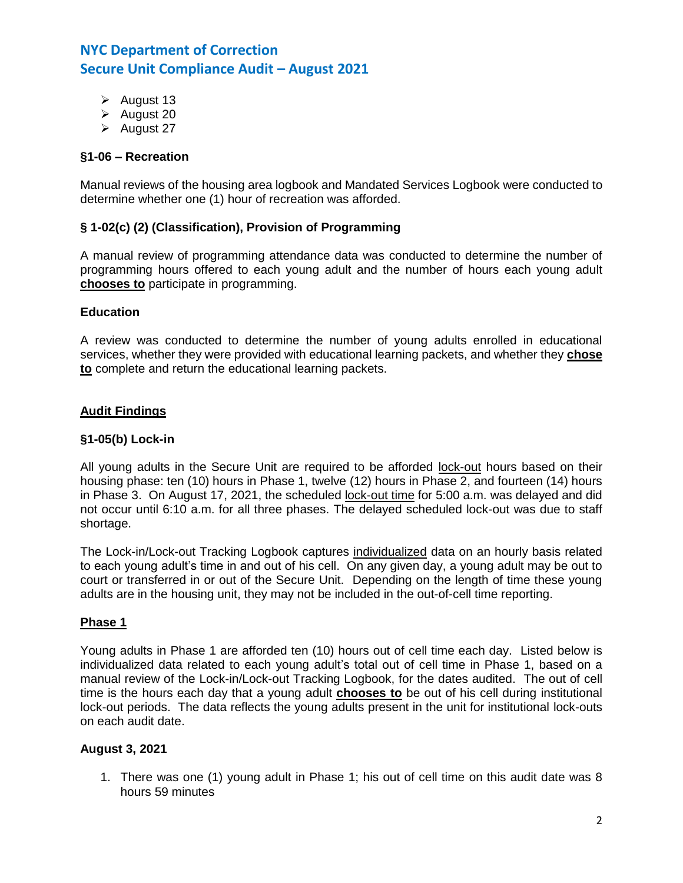- ➢ August 13
- ➢ August 20
- ➢ August 27

# **§1-06 – Recreation**

Manual reviews of the housing area logbook and Mandated Services Logbook were conducted to determine whether one (1) hour of recreation was afforded.

#### **§ 1-02(c) (2) (Classification), Provision of Programming**

A manual review of programming attendance data was conducted to determine the number of programming hours offered to each young adult and the number of hours each young adult **chooses to** participate in programming.

#### **Education**

A review was conducted to determine the number of young adults enrolled in educational services, whether they were provided with educational learning packets, and whether they **chose to** complete and return the educational learning packets.

#### **Audit Findings**

#### **§1-05(b) Lock-in**

All young adults in the Secure Unit are required to be afforded lock-out hours based on their housing phase: ten (10) hours in Phase 1, twelve (12) hours in Phase 2, and fourteen (14) hours in Phase 3. On August 17, 2021, the scheduled lock-out time for 5:00 a.m. was delayed and did not occur until 6:10 a.m. for all three phases. The delayed scheduled lock-out was due to staff shortage.

The Lock-in/Lock-out Tracking Logbook captures individualized data on an hourly basis related to each young adult's time in and out of his cell. On any given day, a young adult may be out to court or transferred in or out of the Secure Unit. Depending on the length of time these young adults are in the housing unit, they may not be included in the out-of-cell time reporting.

#### **Phase 1**

Young adults in Phase 1 are afforded ten (10) hours out of cell time each day. Listed below is individualized data related to each young adult's total out of cell time in Phase 1, based on a manual review of the Lock-in/Lock-out Tracking Logbook, for the dates audited. The out of cell time is the hours each day that a young adult **chooses to** be out of his cell during institutional lock-out periods. The data reflects the young adults present in the unit for institutional lock-outs on each audit date.

#### **August 3, 2021**

1. There was one (1) young adult in Phase 1; his out of cell time on this audit date was 8 hours 59 minutes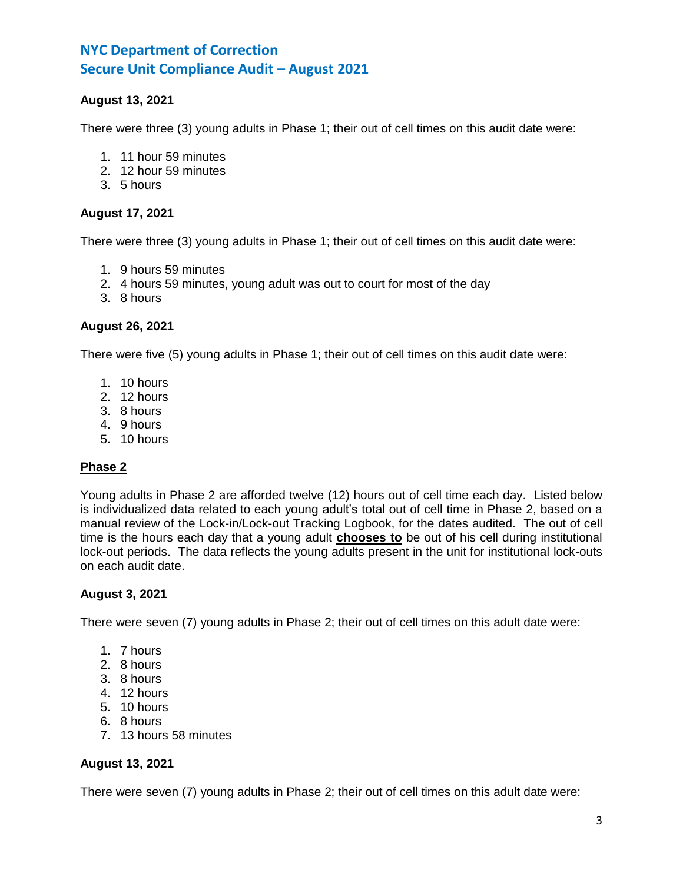# **August 13, 2021**

There were three (3) young adults in Phase 1; their out of cell times on this audit date were:

- 1. 11 hour 59 minutes
- 2. 12 hour 59 minutes
- 3. 5 hours

#### **August 17, 2021**

There were three (3) young adults in Phase 1; their out of cell times on this audit date were:

- 1. 9 hours 59 minutes
- 2. 4 hours 59 minutes, young adult was out to court for most of the day
- 3. 8 hours

#### **August 26, 2021**

There were five (5) young adults in Phase 1; their out of cell times on this audit date were:

- 1. 10 hours
- 2. 12 hours
- 3. 8 hours
- 4. 9 hours
- 5. 10 hours

# **Phase 2**

Young adults in Phase 2 are afforded twelve (12) hours out of cell time each day. Listed below is individualized data related to each young adult's total out of cell time in Phase 2, based on a manual review of the Lock-in/Lock-out Tracking Logbook, for the dates audited. The out of cell time is the hours each day that a young adult **chooses to** be out of his cell during institutional lock-out periods. The data reflects the young adults present in the unit for institutional lock-outs on each audit date.

# **August 3, 2021**

There were seven (7) young adults in Phase 2; their out of cell times on this adult date were:

- 1. 7 hours
- 2. 8 hours
- 3. 8 hours
- 4. 12 hours
- 5. 10 hours
- 6. 8 hours
- 7. 13 hours 58 minutes

# **August 13, 2021**

There were seven (7) young adults in Phase 2; their out of cell times on this adult date were: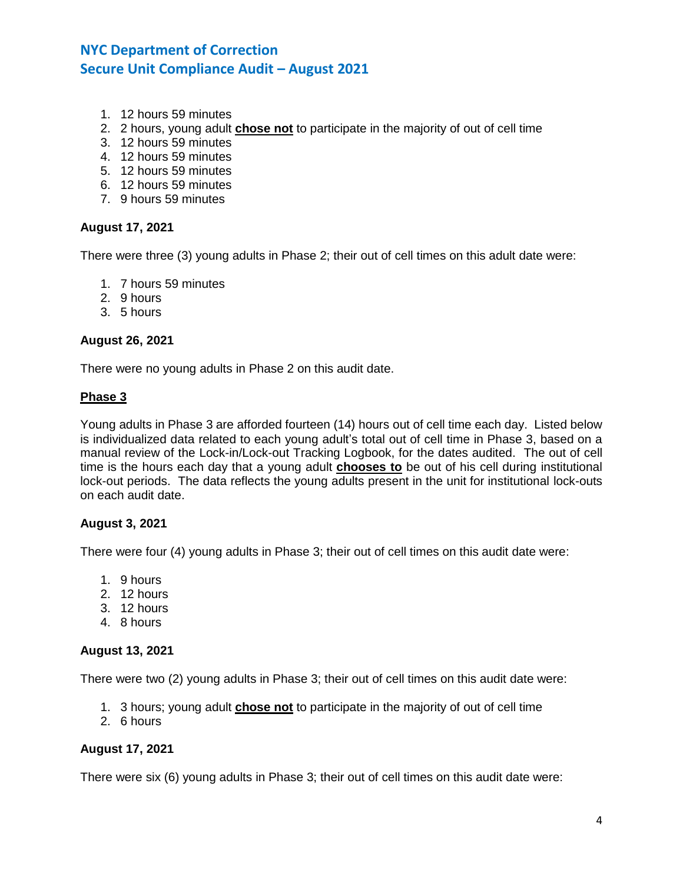- 1. 12 hours 59 minutes
- 2. 2 hours, young adult **chose not** to participate in the majority of out of cell time
- 3. 12 hours 59 minutes
- 4. 12 hours 59 minutes
- 5. 12 hours 59 minutes
- 6. 12 hours 59 minutes
- 7. 9 hours 59 minutes

#### **August 17, 2021**

There were three (3) young adults in Phase 2; their out of cell times on this adult date were:

- 1. 7 hours 59 minutes
- 2. 9 hours
- 3. 5 hours

#### **August 26, 2021**

There were no young adults in Phase 2 on this audit date.

#### **Phase 3**

Young adults in Phase 3 are afforded fourteen (14) hours out of cell time each day. Listed below is individualized data related to each young adult's total out of cell time in Phase 3, based on a manual review of the Lock-in/Lock-out Tracking Logbook, for the dates audited. The out of cell time is the hours each day that a young adult **chooses to** be out of his cell during institutional lock-out periods. The data reflects the young adults present in the unit for institutional lock-outs on each audit date.

# **August 3, 2021**

There were four (4) young adults in Phase 3; their out of cell times on this audit date were:

- 1. 9 hours
- 2. 12 hours
- 3. 12 hours
- 4. 8 hours

#### **August 13, 2021**

There were two (2) young adults in Phase 3; their out of cell times on this audit date were:

- 1. 3 hours; young adult **chose not** to participate in the majority of out of cell time
- 2. 6 hours

#### **August 17, 2021**

There were six (6) young adults in Phase 3; their out of cell times on this audit date were: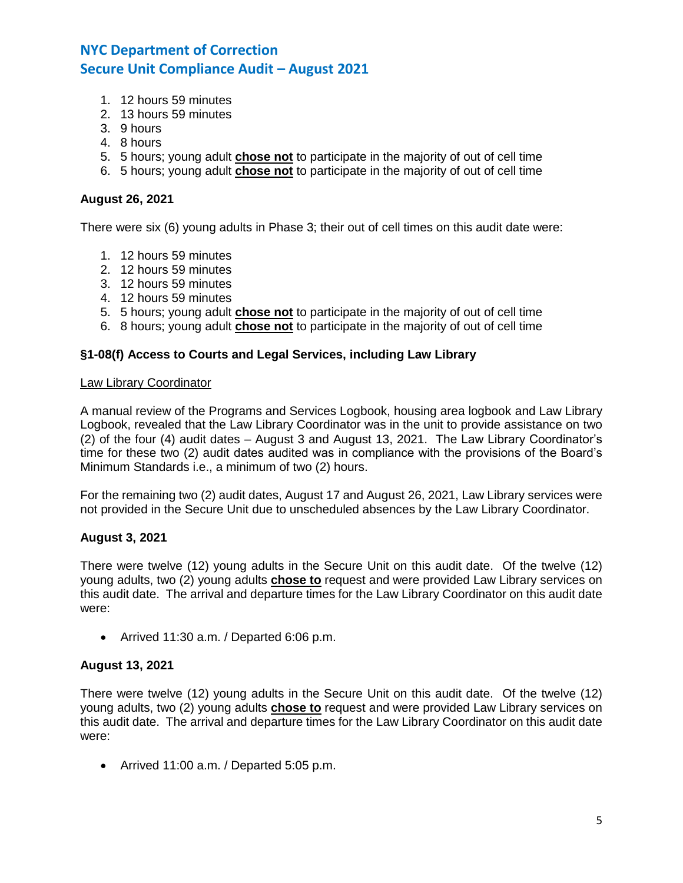- 1. 12 hours 59 minutes
- 2. 13 hours 59 minutes
- 3. 9 hours
- 4. 8 hours
- 5. 5 hours; young adult **chose not** to participate in the majority of out of cell time
- 6. 5 hours; young adult **chose not** to participate in the majority of out of cell time

#### **August 26, 2021**

There were six (6) young adults in Phase 3; their out of cell times on this audit date were:

- 1. 12 hours 59 minutes
- 2. 12 hours 59 minutes
- 3. 12 hours 59 minutes
- 4. 12 hours 59 minutes
- 5. 5 hours; young adult **chose not** to participate in the majority of out of cell time
- 6. 8 hours; young adult **chose not** to participate in the majority of out of cell time

#### **§1-08(f) Access to Courts and Legal Services, including Law Library**

#### Law Library Coordinator

A manual review of the Programs and Services Logbook, housing area logbook and Law Library Logbook, revealed that the Law Library Coordinator was in the unit to provide assistance on two (2) of the four (4) audit dates – August 3 and August 13, 2021. The Law Library Coordinator's time for these two (2) audit dates audited was in compliance with the provisions of the Board's Minimum Standards i.e., a minimum of two (2) hours.

For the remaining two (2) audit dates, August 17 and August 26, 2021, Law Library services were not provided in the Secure Unit due to unscheduled absences by the Law Library Coordinator.

#### **August 3, 2021**

There were twelve (12) young adults in the Secure Unit on this audit date. Of the twelve (12) young adults, two (2) young adults **chose to** request and were provided Law Library services on this audit date. The arrival and departure times for the Law Library Coordinator on this audit date were:

• Arrived 11:30 a.m. / Departed 6:06 p.m.

#### **August 13, 2021**

There were twelve (12) young adults in the Secure Unit on this audit date. Of the twelve (12) young adults, two (2) young adults **chose to** request and were provided Law Library services on this audit date. The arrival and departure times for the Law Library Coordinator on this audit date were:

• Arrived 11:00 a.m. / Departed 5:05 p.m.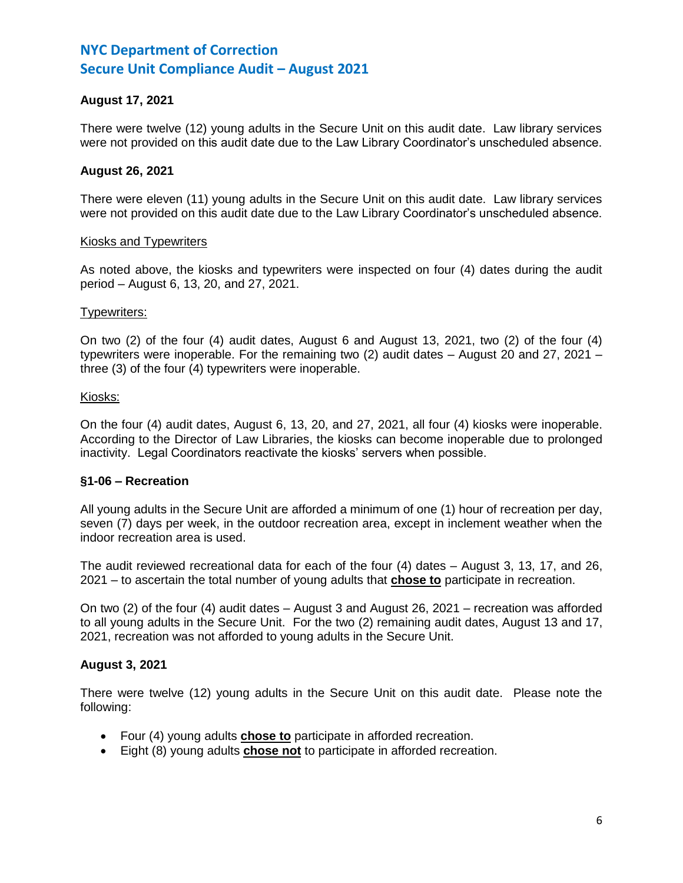# **August 17, 2021**

There were twelve (12) young adults in the Secure Unit on this audit date. Law library services were not provided on this audit date due to the Law Library Coordinator's unscheduled absence.

#### **August 26, 2021**

There were eleven (11) young adults in the Secure Unit on this audit date. Law library services were not provided on this audit date due to the Law Library Coordinator's unscheduled absence.

#### Kiosks and Typewriters

As noted above, the kiosks and typewriters were inspected on four (4) dates during the audit period – August 6, 13, 20, and 27, 2021.

#### Typewriters:

On two (2) of the four (4) audit dates, August 6 and August 13, 2021, two (2) of the four (4) typewriters were inoperable. For the remaining two (2) audit dates – August 20 and 27, 2021 – three (3) of the four (4) typewriters were inoperable.

#### Kiosks:

On the four (4) audit dates, August 6, 13, 20, and 27, 2021, all four (4) kiosks were inoperable. According to the Director of Law Libraries, the kiosks can become inoperable due to prolonged inactivity. Legal Coordinators reactivate the kiosks' servers when possible.

# **§1-06 – Recreation**

All young adults in the Secure Unit are afforded a minimum of one (1) hour of recreation per day, seven (7) days per week, in the outdoor recreation area, except in inclement weather when the indoor recreation area is used.

The audit reviewed recreational data for each of the four (4) dates – August 3, 13, 17, and 26, 2021 – to ascertain the total number of young adults that **chose to** participate in recreation.

On two (2) of the four (4) audit dates – August 3 and August 26, 2021 – recreation was afforded to all young adults in the Secure Unit. For the two (2) remaining audit dates, August 13 and 17, 2021, recreation was not afforded to young adults in the Secure Unit.

# **August 3, 2021**

There were twelve (12) young adults in the Secure Unit on this audit date. Please note the following:

- Four (4) young adults **chose to** participate in afforded recreation.
- Eight (8) young adults **chose not** to participate in afforded recreation.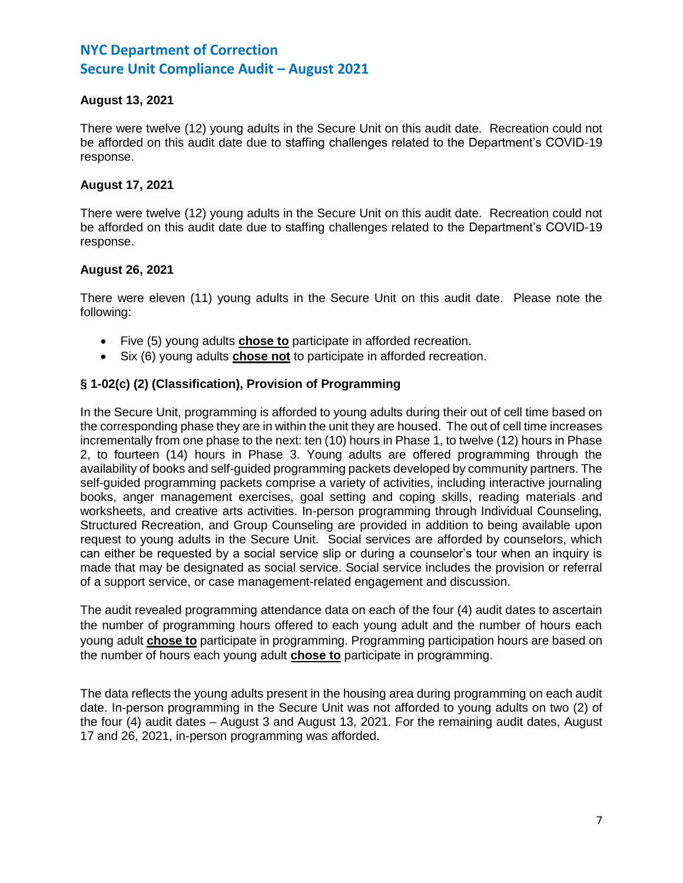# **August 13, 2021**

There were twelve (12) young adults in the Secure Unit on this audit date. Recreation could not be afforded on this audit date due to staffing challenges related to the Department's COVID-19 response.

# **August 17, 2021**

There were twelve (12) young adults in the Secure Unit on this audit date. Recreation could not be afforded on this audit date due to staffing challenges related to the Department's COVID-19 response.

# **August 26, 2021**

There were eleven (11) young adults in the Secure Unit on this audit date. Please note the following:

- Five (5) young adults **chose to** participate in afforded recreation.
- Six (6) young adults **chose not** to participate in afforded recreation.

# **§ 1-02(c) (2) (Classification), Provision of Programming**

In the Secure Unit, programming is afforded to young adults during their out of cell time based on the corresponding phase they are in within the unit they are housed. The out of cell time increases incrementally from one phase to the next: ten (10) hours in Phase 1, to twelve (12) hours in Phase 2, to fourteen (14) hours in Phase 3. Young adults are offered programming through the availability of books and self-guided programming packets developed by community partners. The self-guided programming packets comprise a variety of activities, including interactive journaling books, anger management exercises, goal setting and coping skills, reading materials and worksheets, and creative arts activities. In-person programming through Individual Counseling, Structured Recreation, and Group Counseling are provided in addition to being available upon request to young adults in the Secure Unit. Social services are afforded by counselors, which can either be requested by a social service slip or during a counselor's tour when an inquiry is made that may be designated as social service. Social service includes the provision or referral of a support service, or case management-related engagement and discussion.

The audit revealed programming attendance data on each of the four (4) audit dates to ascertain the number of programming hours offered to each young adult and the number of hours each young adult **chose to** participate in programming. Programming participation hours are based on the number of hours each young adult **chose to** participate in programming.

The data reflects the young adults present in the housing area during programming on each audit date. In-person programming in the Secure Unit was not afforded to young adults on two (2) of the four (4) audit dates – August 3 and August 13, 2021. For the remaining audit dates, August 17 and 26, 2021, in-person programming was afforded.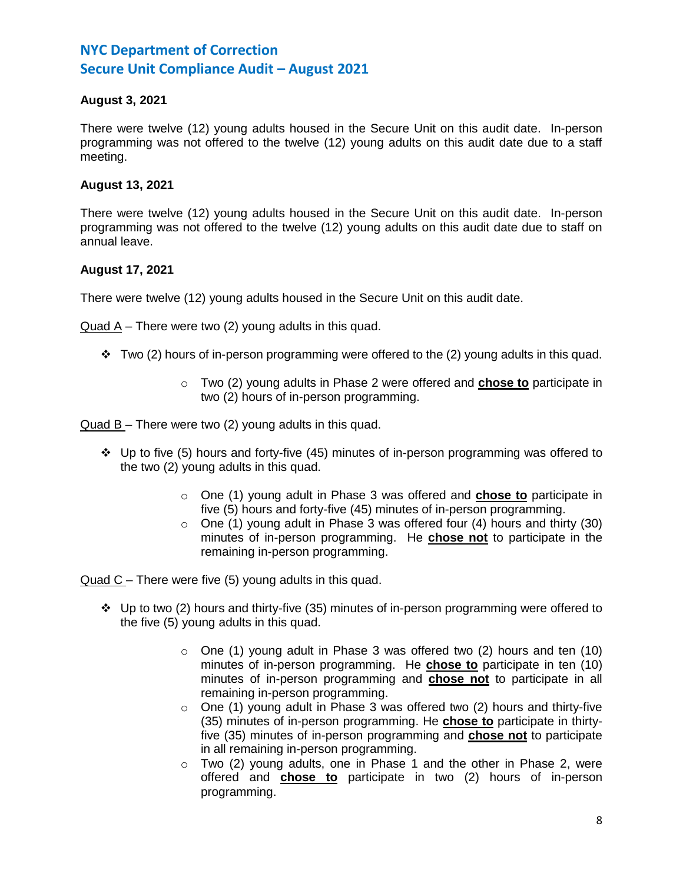# **August 3, 2021**

There were twelve (12) young adults housed in the Secure Unit on this audit date. In-person programming was not offered to the twelve (12) young adults on this audit date due to a staff meeting.

# **August 13, 2021**

There were twelve (12) young adults housed in the Secure Unit on this audit date. In-person programming was not offered to the twelve (12) young adults on this audit date due to staff on annual leave.

# **August 17, 2021**

There were twelve (12) young adults housed in the Secure Unit on this audit date.

Quad A – There were two (2) young adults in this quad.

- $\div$  Two (2) hours of in-person programming were offered to the (2) young adults in this quad.
	- o Two (2) young adults in Phase 2 were offered and **chose to** participate in two (2) hours of in-person programming.

Quad B – There were two (2) young adults in this quad.

- ❖ Up to five (5) hours and forty-five (45) minutes of in-person programming was offered to the two (2) young adults in this quad.
	- o One (1) young adult in Phase 3 was offered and **chose to** participate in five (5) hours and forty-five (45) minutes of in-person programming.
	- $\circ$  One (1) young adult in Phase 3 was offered four (4) hours and thirty (30) minutes of in-person programming. He **chose not** to participate in the remaining in-person programming.

Quad C – There were five (5) young adults in this quad.

- ❖ Up to two (2) hours and thirty-five (35) minutes of in-person programming were offered to the five (5) young adults in this quad.
	- $\circ$  One (1) young adult in Phase 3 was offered two (2) hours and ten (10) minutes of in-person programming. He **chose to** participate in ten (10) minutes of in-person programming and **chose not** to participate in all remaining in-person programming.
	- o One (1) young adult in Phase 3 was offered two (2) hours and thirty-five (35) minutes of in-person programming. He **chose to** participate in thirtyfive (35) minutes of in-person programming and **chose not** to participate in all remaining in-person programming.
	- $\circ$  Two (2) young adults, one in Phase 1 and the other in Phase 2, were offered and **chose to** participate in two (2) hours of in-person programming.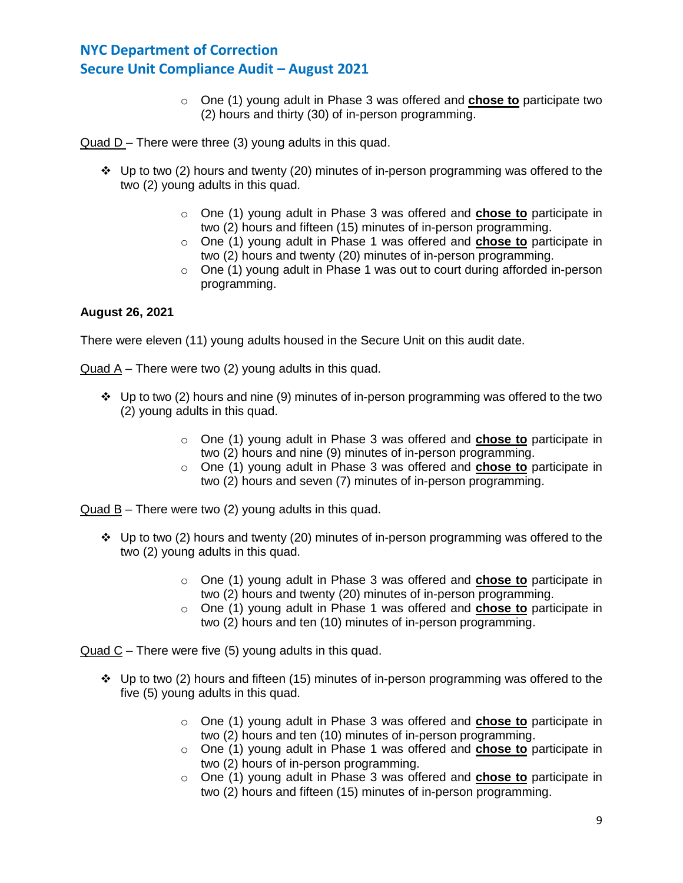o One (1) young adult in Phase 3 was offered and **chose to** participate two (2) hours and thirty (30) of in-person programming.

Quad D – There were three (3) young adults in this quad.

- ❖ Up to two (2) hours and twenty (20) minutes of in-person programming was offered to the two (2) young adults in this quad.
	- o One (1) young adult in Phase 3 was offered and **chose to** participate in two (2) hours and fifteen (15) minutes of in-person programming.
	- o One (1) young adult in Phase 1 was offered and **chose to** participate in two (2) hours and twenty (20) minutes of in-person programming.
	- o One (1) young adult in Phase 1 was out to court during afforded in-person programming.

# **August 26, 2021**

There were eleven (11) young adults housed in the Secure Unit on this audit date.

Quad A – There were two (2) young adults in this quad.

- ❖ Up to two (2) hours and nine (9) minutes of in-person programming was offered to the two (2) young adults in this quad.
	- o One (1) young adult in Phase 3 was offered and **chose to** participate in two (2) hours and nine (9) minutes of in-person programming.
	- o One (1) young adult in Phase 3 was offered and **chose to** participate in two (2) hours and seven (7) minutes of in-person programming.

Quad B – There were two (2) young adults in this quad.

- ❖ Up to two (2) hours and twenty (20) minutes of in-person programming was offered to the two (2) young adults in this quad.
	- o One (1) young adult in Phase 3 was offered and **chose to** participate in two (2) hours and twenty (20) minutes of in-person programming.
	- o One (1) young adult in Phase 1 was offered and **chose to** participate in two (2) hours and ten (10) minutes of in-person programming.

Quad C – There were five (5) young adults in this quad.

- ❖ Up to two (2) hours and fifteen (15) minutes of in-person programming was offered to the five (5) young adults in this quad.
	- o One (1) young adult in Phase 3 was offered and **chose to** participate in two (2) hours and ten (10) minutes of in-person programming.
	- o One (1) young adult in Phase 1 was offered and **chose to** participate in two (2) hours of in-person programming.
	- o One (1) young adult in Phase 3 was offered and **chose to** participate in two (2) hours and fifteen (15) minutes of in-person programming.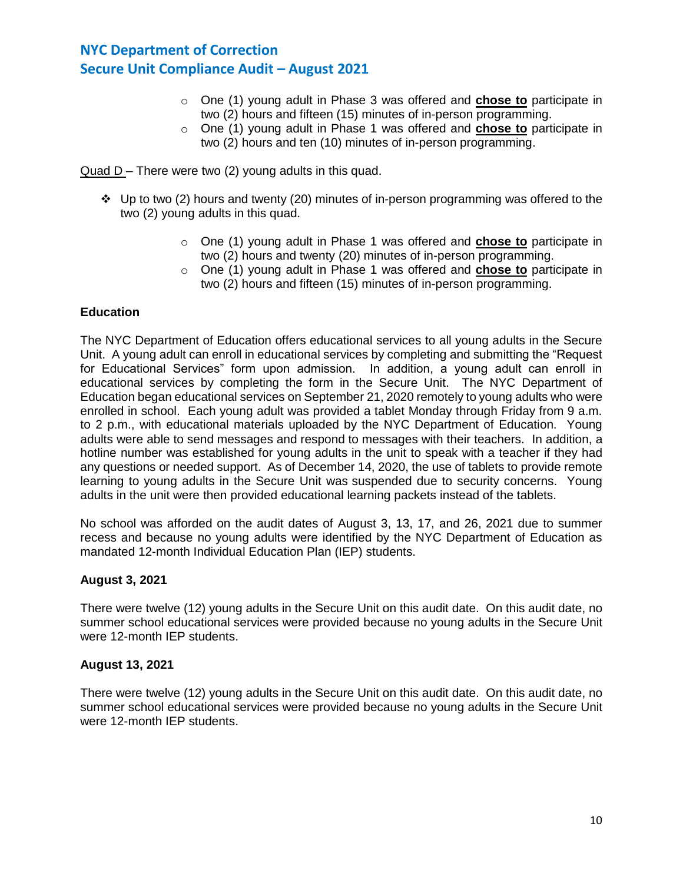- o One (1) young adult in Phase 3 was offered and **chose to** participate in two (2) hours and fifteen (15) minutes of in-person programming.
- o One (1) young adult in Phase 1 was offered and **chose to** participate in two (2) hours and ten (10) minutes of in-person programming.

 $Quad D -$  There were two (2) young adults in this quad.

- ❖ Up to two (2) hours and twenty (20) minutes of in-person programming was offered to the two (2) young adults in this quad.
	- o One (1) young adult in Phase 1 was offered and **chose to** participate in two (2) hours and twenty (20) minutes of in-person programming.
	- o One (1) young adult in Phase 1 was offered and **chose to** participate in two (2) hours and fifteen (15) minutes of in-person programming.

# **Education**

The NYC Department of Education offers educational services to all young adults in the Secure Unit. A young adult can enroll in educational services by completing and submitting the "Request for Educational Services" form upon admission. In addition, a young adult can enroll in educational services by completing the form in the Secure Unit. The NYC Department of Education began educational services on September 21, 2020 remotely to young adults who were enrolled in school. Each young adult was provided a tablet Monday through Friday from 9 a.m. to 2 p.m., with educational materials uploaded by the NYC Department of Education. Young adults were able to send messages and respond to messages with their teachers. In addition, a hotline number was established for young adults in the unit to speak with a teacher if they had any questions or needed support. As of December 14, 2020, the use of tablets to provide remote learning to young adults in the Secure Unit was suspended due to security concerns. Young adults in the unit were then provided educational learning packets instead of the tablets.

No school was afforded on the audit dates of August 3, 13, 17, and 26, 2021 due to summer recess and because no young adults were identified by the NYC Department of Education as mandated 12-month Individual Education Plan (IEP) students.

#### **August 3, 2021**

There were twelve (12) young adults in the Secure Unit on this audit date. On this audit date, no summer school educational services were provided because no young adults in the Secure Unit were 12-month IEP students.

#### **August 13, 2021**

There were twelve (12) young adults in the Secure Unit on this audit date. On this audit date, no summer school educational services were provided because no young adults in the Secure Unit were 12-month IEP students.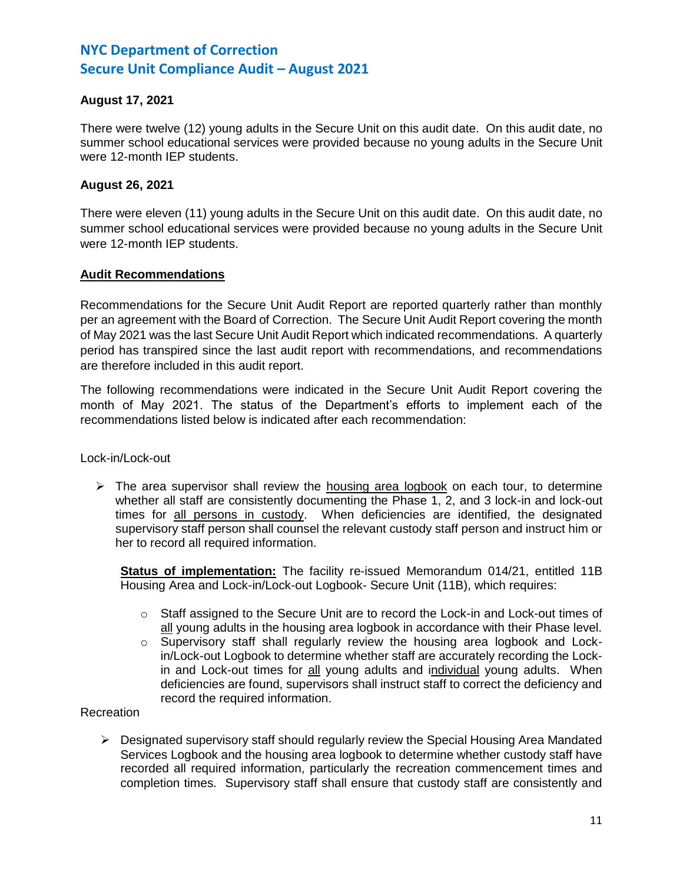# **August 17, 2021**

There were twelve (12) young adults in the Secure Unit on this audit date. On this audit date, no summer school educational services were provided because no young adults in the Secure Unit were 12-month IEP students.

# **August 26, 2021**

There were eleven (11) young adults in the Secure Unit on this audit date. On this audit date, no summer school educational services were provided because no young adults in the Secure Unit were 12-month IEP students.

# **Audit Recommendations**

Recommendations for the Secure Unit Audit Report are reported quarterly rather than monthly per an agreement with the Board of Correction. The Secure Unit Audit Report covering the month of May 2021 was the last Secure Unit Audit Report which indicated recommendations. A quarterly period has transpired since the last audit report with recommendations, and recommendations are therefore included in this audit report.

The following recommendations were indicated in the Secure Unit Audit Report covering the month of May 2021. The status of the Department's efforts to implement each of the recommendations listed below is indicated after each recommendation:

Lock-in/Lock-out

 $\triangleright$  The area supervisor shall review the housing area logbook on each tour, to determine whether all staff are consistently documenting the Phase 1, 2, and 3 lock-in and lock-out times for all persons in custody. When deficiencies are identified, the designated supervisory staff person shall counsel the relevant custody staff person and instruct him or her to record all required information.

**Status of implementation:** The facility re-issued Memorandum 014/21, entitled 11B Housing Area and Lock-in/Lock-out Logbook- Secure Unit (11B), which requires:

- $\circ$  Staff assigned to the Secure Unit are to record the Lock-in and Lock-out times of all young adults in the housing area logbook in accordance with their Phase level.
- $\circ$  Supervisory staff shall regularly review the housing area logbook and Lockin/Lock-out Logbook to determine whether staff are accurately recording the Lockin and Lock-out times for all young adults and individual young adults. When deficiencies are found, supervisors shall instruct staff to correct the deficiency and record the required information.

# Recreation

➢ Designated supervisory staff should regularly review the Special Housing Area Mandated Services Logbook and the housing area logbook to determine whether custody staff have recorded all required information, particularly the recreation commencement times and completion times. Supervisory staff shall ensure that custody staff are consistently and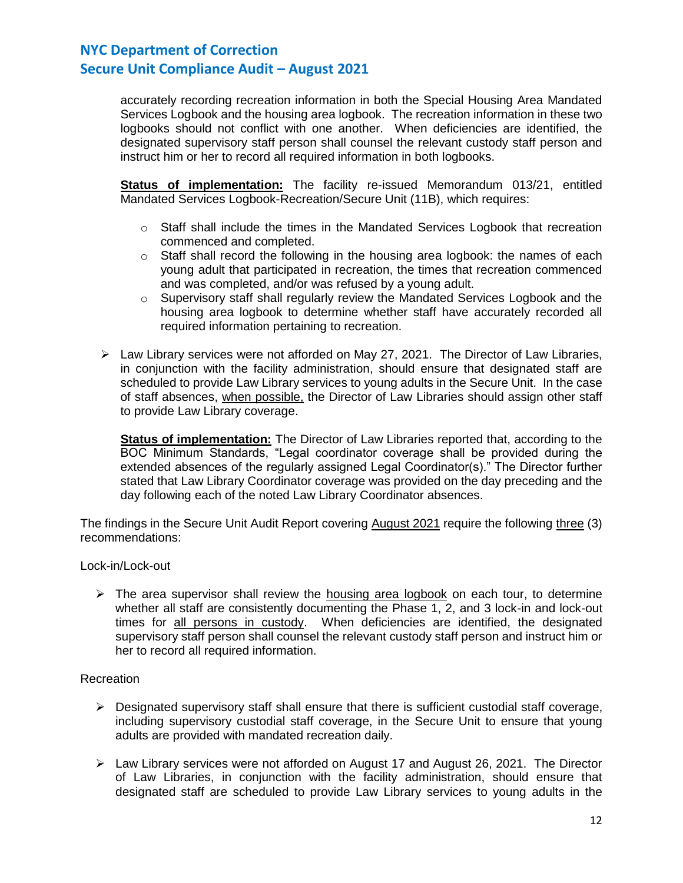accurately recording recreation information in both the Special Housing Area Mandated Services Logbook and the housing area logbook. The recreation information in these two logbooks should not conflict with one another. When deficiencies are identified, the designated supervisory staff person shall counsel the relevant custody staff person and instruct him or her to record all required information in both logbooks.

**Status of implementation:** The facility re-issued Memorandum 013/21, entitled Mandated Services Logbook-Recreation/Secure Unit (11B), which requires:

- $\circ$  Staff shall include the times in the Mandated Services Logbook that recreation commenced and completed.
- $\circ$  Staff shall record the following in the housing area logbook: the names of each young adult that participated in recreation, the times that recreation commenced and was completed, and/or was refused by a young adult.
- $\circ$  Supervisory staff shall regularly review the Mandated Services Logbook and the housing area logbook to determine whether staff have accurately recorded all required information pertaining to recreation.
- ➢ Law Library services were not afforded on May 27, 2021. The Director of Law Libraries, in conjunction with the facility administration, should ensure that designated staff are scheduled to provide Law Library services to young adults in the Secure Unit. In the case of staff absences, when possible, the Director of Law Libraries should assign other staff to provide Law Library coverage.

**Status of implementation:** The Director of Law Libraries reported that, according to the BOC Minimum Standards, "Legal coordinator coverage shall be provided during the extended absences of the regularly assigned Legal Coordinator(s)." The Director further stated that Law Library Coordinator coverage was provided on the day preceding and the day following each of the noted Law Library Coordinator absences.

The findings in the Secure Unit Audit Report covering August 2021 require the following three (3) recommendations:

Lock-in/Lock-out

➢ The area supervisor shall review the housing area logbook on each tour, to determine whether all staff are consistently documenting the Phase 1, 2, and 3 lock-in and lock-out times for all persons in custody. When deficiencies are identified, the designated supervisory staff person shall counsel the relevant custody staff person and instruct him or her to record all required information.

#### Recreation

- $\triangleright$  Designated supervisory staff shall ensure that there is sufficient custodial staff coverage, including supervisory custodial staff coverage, in the Secure Unit to ensure that young adults are provided with mandated recreation daily.
- $\triangleright$  Law Library services were not afforded on August 17 and August 26, 2021. The Director of Law Libraries, in conjunction with the facility administration, should ensure that designated staff are scheduled to provide Law Library services to young adults in the